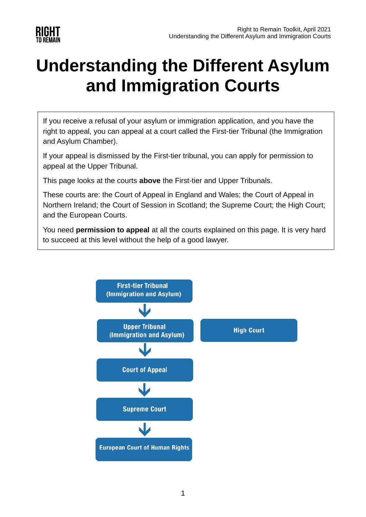

# **Understanding the Different Asylum and Immigration Courts**

If you receive a refusal of your asylum or immigration application, and you have the right to appeal, you can appeal at a court called the First-tier Tribunal (the Immigration and Asylum Chamber).

If your appeal is dismissed by the First-tier tribunal, you can apply for permission to appeal at the Upper Tribunal.

This page looks at the courts **above** the First-tier and Upper Tribunals.

These courts are: the Court of Appeal in England and Wales; the Court of Appeal in Northern Ireland; the Court of Session in Scotland; the Supreme Court; the High Court; and the European Courts.

You need **permission to appeal** at all the courts explained on this page. It is very hard to succeed at this level without the help of a good lawyer.

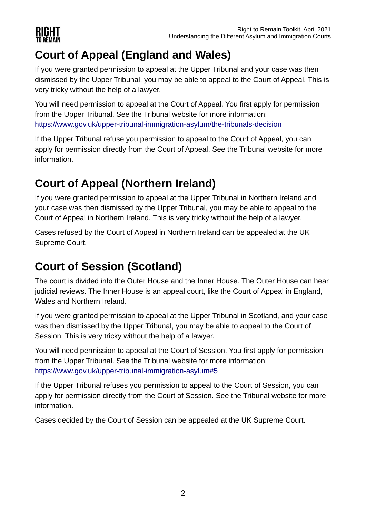

# **Court of Appeal (England and Wales)**

If you were granted permission to appeal at the Upper Tribunal and your case was then dismissed by the Upper Tribunal, you may be able to appeal to the Court of Appeal. This is very tricky without the help of a lawyer.

You will need permission to appeal at the Court of Appeal. You first apply for permission from the Upper Tribunal. See the Tribunal website for more information: <https://www.gov.uk/upper-tribunal-immigration-asylum/the-tribunals-decision>

If the Upper Tribunal refuse you permission to appeal to the Court of Appeal, you can apply for permission directly from the Court of Appeal. See the Tribunal website for more information.

# **Court of Appeal (Northern Ireland)**

If you were granted permission to appeal at the Upper Tribunal in Northern Ireland and your case was then dismissed by the Upper Tribunal, you may be able to appeal to the Court of Appeal in Northern Ireland. This is very tricky without the help of a lawyer.

Cases refused by the Court of Appeal in Northern Ireland can be appealed at the UK Supreme Court.

# **Court of Session (Scotland)**

The court is divided into the Outer House and the Inner House. The Outer House can hear judicial reviews. The Inner House is an appeal court, like the Court of Appeal in England, Wales and Northern Ireland.

If you were granted permission to appeal at the Upper Tribunal in Scotland, and your case was then dismissed by the Upper Tribunal, you may be able to appeal to the Court of Session. This is very tricky without the help of a lawyer.

You will need permission to appeal at the Court of Session. You first apply for permission from the Upper Tribunal. See the Tribunal website for more information: <https://www.gov.uk/upper-tribunal-immigration-asylum#5>

If the Upper Tribunal refuses you permission to appeal to the Court of Session, you can apply for permission directly from the Court of Session. See the Tribunal website for more information.

Cases decided by the Court of Session can be appealed at the UK Supreme Court.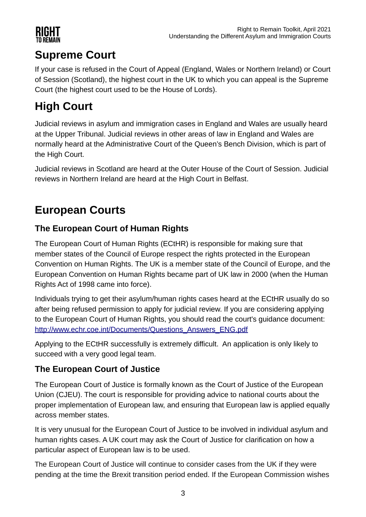

### **Supreme Court**

If your case is refused in the Court of Appeal (England, Wales or Northern Ireland) or Court of Session (Scotland), the highest court in the UK to which you can appeal is the Supreme Court (the highest court used to be the House of Lords).

## **High Court**

Judicial reviews in asylum and immigration cases in England and Wales are usually heard at the Upper Tribunal. Judicial reviews in other areas of law in England and Wales are normally heard at the Administrative Court of the Queen's Bench Division, which is part of the High Court.

Judicial reviews in Scotland are heard at the Outer House of the Court of Session. Judicial reviews in Northern Ireland are heard at the High Court in Belfast.

## **European Courts**

#### **The European Court of Human Rights**

The European Court of Human Rights (ECtHR) is responsible for making sure that member states of the Council of Europe respect the rights protected in the European Convention on Human Rights. The UK is a member state of the Council of Europe, and the European Convention on Human Rights became part of UK law in 2000 (when the Human Rights Act of 1998 came into force).

Individuals trying to get their asylum/human rights cases heard at the ECtHR usually do so after being refused permission to apply for judicial review. If you are considering applying to the European Court of Human Rights, you should read the court's guidance document: [http://www.echr.coe.int/Documents/Questions\\_Answers\\_ENG.pdf](http://www.echr.coe.int/Documents/Questions_Answers_ENG.pdf)

Applying to the ECtHR successfully is extremely difficult. An application is only likely to succeed with a very good legal team.

#### **The European Court of Justice**

The European Court of Justice is formally known as the Court of Justice of the European Union (CJEU). The court is responsible for providing advice to national courts about the proper implementation of European law, and ensuring that European law is applied equally across member states.

It is very unusual for the European Court of Justice to be involved in individual asylum and human rights cases. A UK court may ask the Court of Justice for clarification on how a particular aspect of European law is to be used.

The European Court of Justice will continue to consider cases from the UK if they were pending at the time the Brexit transition period ended. If the European Commission wishes